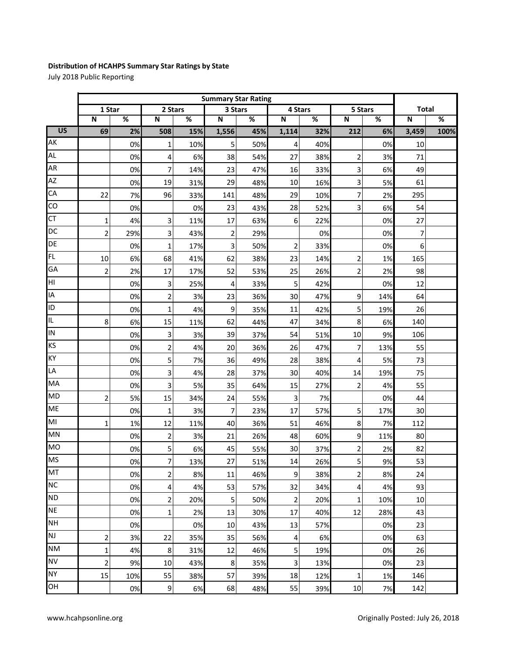## **Distribution of HCAHPS Summary Star Ratings by State**

July 2018 Public Reporting

|                 | <b>Summary Star Rating</b> |     |                         |     |                         |     |                |     |                         |     |                         |      |
|-----------------|----------------------------|-----|-------------------------|-----|-------------------------|-----|----------------|-----|-------------------------|-----|-------------------------|------|
|                 | 1 Star                     |     | 2 Stars                 |     | 3 Stars                 |     | 4 Stars        |     | 5 Stars                 |     | <b>Total</b>            |      |
|                 | $\overline{\mathsf{N}}$    | %   | N                       | %   | $\overline{\mathsf{N}}$ | %   | N              | %   | $\overline{\mathsf{N}}$ | %   | $\overline{\mathsf{N}}$ | %    |
| $\overline{US}$ | 69                         | 2%  | 508                     | 15% | 1,556                   | 45% | 1,114          | 32% | 212                     | 6%  | 3,459                   | 100% |
| AK              |                            | 0%  | $\mathbf 1$             | 10% | 5                       | 50% | 4              | 40% |                         | 0%  | 10                      |      |
| <b>AL</b>       |                            | 0%  | 4                       | 6%  | 38                      | 54% | 27             | 38% | $\overline{c}$          | 3%  | 71                      |      |
| <b>AR</b>       |                            | 0%  | 7                       | 14% | 23                      | 47% | 16             | 33% | 3                       | 6%  | 49                      |      |
| <b>AZ</b>       |                            | 0%  | 19                      | 31% | 29                      | 48% | 10             | 16% | 3                       | 5%  | 61                      |      |
| CA              | 22                         | 7%  | 96                      | 33% | 141                     | 48% | 29             | 10% | 7                       | 2%  | 295                     |      |
| CO              |                            | 0%  |                         | 0%  | 23                      | 43% | 28             | 52% | 3                       | 6%  | 54                      |      |
| <b>CT</b>       | $\mathbf 1$                | 4%  | 3                       | 11% | 17                      | 63% | 6              | 22% |                         | 0%  | 27                      |      |
| DC              | $\overline{2}$             | 29% | 3                       | 43% | $\overline{2}$          | 29% |                | 0%  |                         | 0%  | 7                       |      |
| DE              |                            | 0%  | $\mathbf 1$             | 17% | 3                       | 50% | $\overline{2}$ | 33% |                         | 0%  | 6                       |      |
| FL              | 10                         | 6%  | 68                      | 41% | 62                      | 38% | 23             | 14% | $\overline{c}$          | 1%  | 165                     |      |
| GA              | $\overline{2}$             | 2%  | 17                      | 17% | 52                      | 53% | 25             | 26% | $\overline{2}$          | 2%  | 98                      |      |
| НI              |                            | 0%  | 3                       | 25% | 4                       | 33% | 5              | 42% |                         | 0%  | 12                      |      |
| IA              |                            | 0%  | $\overline{c}$          | 3%  | 23                      | 36% | 30             | 47% | 9                       | 14% | 64                      |      |
| ID              |                            | 0%  | $\mathbf{1}$            | 4%  | 9                       | 35% | 11             | 42% | 5                       | 19% | 26                      |      |
| IL.             | 8                          | 6%  | 15                      | 11% | 62                      | 44% | 47             | 34% | 8                       | 6%  | 140                     |      |
| IN              |                            | 0%  | 3                       | 3%  | 39                      | 37% | 54             | 51% | $10\,$                  | 9%  | 106                     |      |
| KS              |                            | 0%  | $\overline{\mathbf{c}}$ | 4%  | 20                      | 36% | 26             | 47% | 7                       | 13% | 55                      |      |
| KY              |                            | 0%  | 5                       | 7%  | 36                      | 49% | 28             | 38% | 4                       | 5%  | 73                      |      |
| LA              |                            | 0%  | 3                       | 4%  | 28                      | 37% | 30             | 40% | 14                      | 19% | 75                      |      |
| MA              |                            | 0%  | 3                       | 5%  | 35                      | 64% | 15             | 27% | $\overline{2}$          | 4%  | 55                      |      |
| <b>MD</b>       | $\overline{2}$             | 5%  | 15                      | 34% | 24                      | 55% | 3              | 7%  |                         | 0%  | 44                      |      |
| <b>ME</b>       |                            | 0%  | $\mathbf 1$             | 3%  | $\overline{7}$          | 23% | 17             | 57% | 5                       | 17% | 30                      |      |
| MI              | 1                          | 1%  | 12                      | 11% | 40                      | 36% | 51             | 46% | 8                       | 7%  | 112                     |      |
| MN              |                            | 0%  | $\mathbf 2$             | 3%  | 21                      | 26% | 48             | 60% | 9                       | 11% | 80                      |      |
| <b>MO</b>       |                            | 0%  | 5                       | 6%  | 45                      | 55% | 30             | 37% | $\overline{\mathbf{c}}$ | 2%  | 82                      |      |
| <b>MS</b>       |                            | 0%  | $\overline{z}$          | 13% | 27                      | 51% | $14\,$         | 26% | 5                       | 9%  | 53                      |      |
| MT              |                            | 0%  | 2                       | 8%  | 11                      | 46% | 9              | 38% | $\overline{2}$          | 8%  | 24                      |      |
| <b>NC</b>       |                            | 0%  | 4                       | 4%  | 53                      | 57% | 32             | 34% | $\overline{4}$          | 4%  | 93                      |      |
| <b>ND</b>       |                            | 0%  | $\overline{2}$          | 20% | 5                       | 50% | $\mathbf 2$    | 20% | $\mathbf 1$             | 10% | 10                      |      |
| <b>NE</b>       |                            | 0%  | 1                       | 2%  | 13                      | 30% | 17             | 40% | 12                      | 28% | 43                      |      |
| <b>NH</b>       |                            | 0%  |                         | 0%  | 10                      | 43% | 13             | 57% |                         | 0%  | 23                      |      |
| NJ              | $\overline{\mathbf{c}}$    | 3%  | 22                      | 35% | 35                      | 56% | 4              | 6%  |                         | 0%  | 63                      |      |
| <b>NM</b>       | $\mathbf{1}$               | 4%  | 8                       | 31% | 12                      | 46% | 5              | 19% |                         | 0%  | 26                      |      |
| <b>NV</b>       | $\overline{\mathbf{c}}$    | 9%  | 10                      | 43% | 8                       | 35% | 3              | 13% |                         | 0%  | 23                      |      |
| <b>NY</b>       | 15                         | 10% | 55                      | 38% | 57                      | 39% | 18             | 12% | 1                       | 1%  | 146                     |      |
| OH              |                            | 0%  | 9                       | 6%  | 68                      | 48% | 55             | 39% | 10                      | 7%  | 142                     |      |